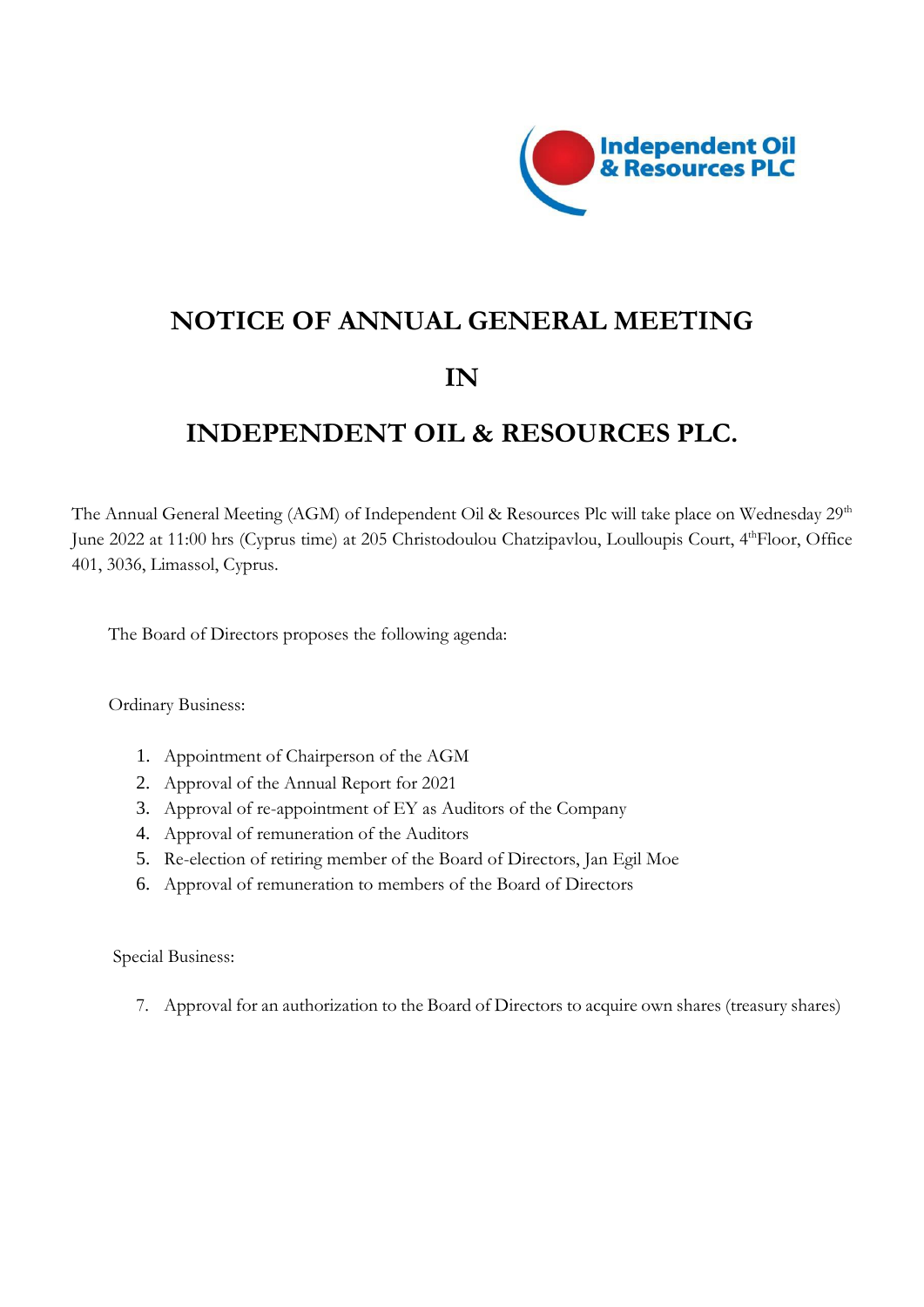

# **NOTICE OF ANNUAL GENERAL MEETING IN**

# **INDEPENDENT OIL & RESOURCES PLC.**

The Annual General Meeting (AGM) of Independent Oil & Resources Plc will take place on Wednesday  $29^{\rm th}$ June 2022 at 11:00 hrs (Cyprus time) at 205 Christodoulou Chatzipavlou, Loulloupis Court, 4<sup>th</sup>Floor, Office 401, 3036, Limassol, Cyprus.

The Board of Directors proposes the following agenda:

Ordinary Business:

- 1. Appointment of Chairperson of the AGM
- 2. Approval of the Annual Report for 2021
- 3. Approval of re-appointment of EY as Auditors of the Company
- 4. Approval of remuneration of the Auditors
- 5. Re-election of retiring member of the Board of Directors, Jan Egil Moe
- 6. Approval of remuneration to members of the Board of Directors

Special Business:

7. Approval for an authorization to the Board of Directors to acquire own shares (treasury shares)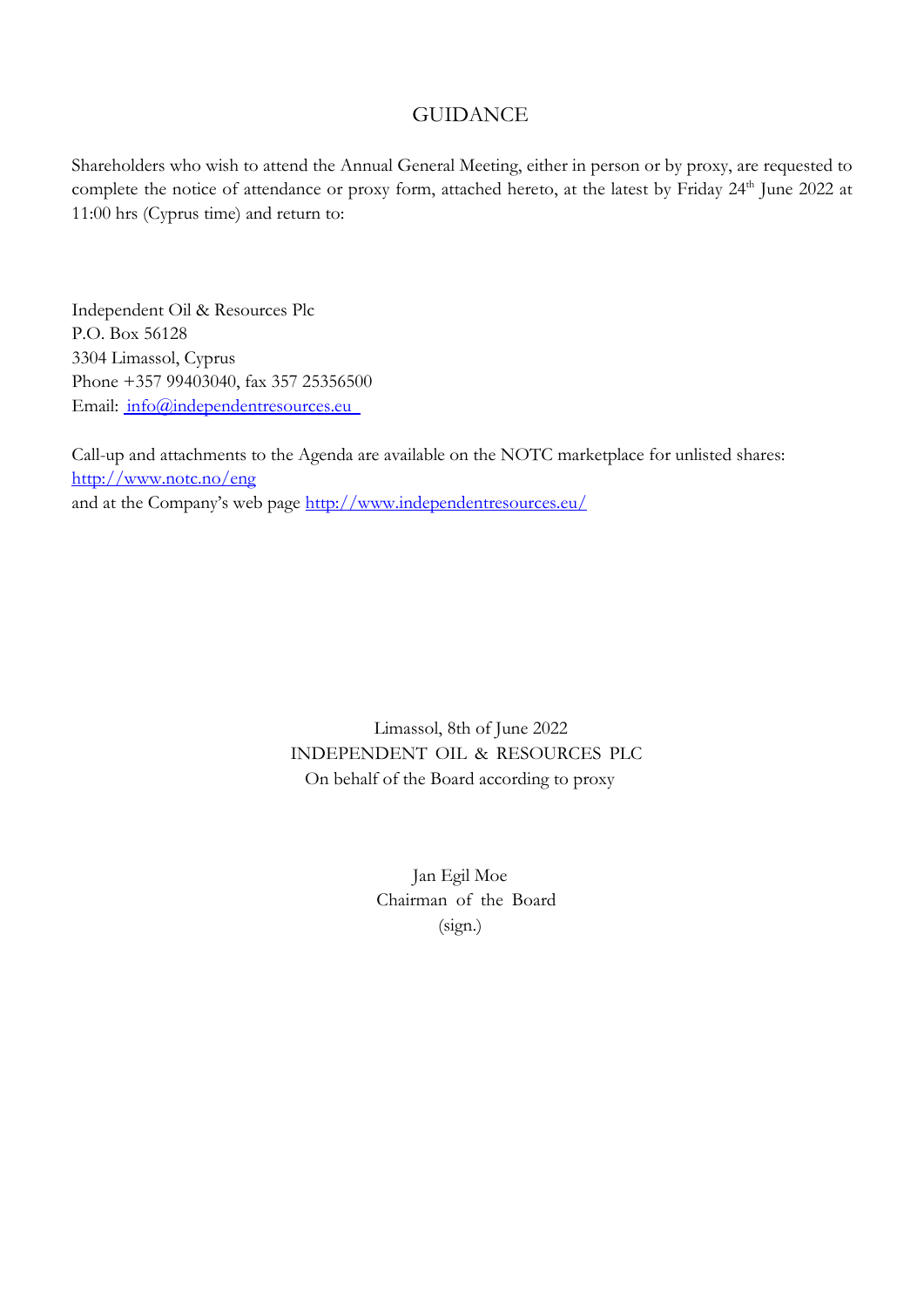## **GUIDANCE**

Shareholders who wish to attend the Annual General Meeting, either in person or by proxy, are requested to complete the notice of attendance or proxy form, attached hereto, at the latest by Friday 24<sup>th</sup> June 2022 at 11:00 hrs (Cyprus time) and return to:

Independent Oil & Resources Plc P.O. Box 56128 3304 Limassol, Cyprus Phone +357 99403040, fax 357 25356500 Email: [info@independentresources.eu](mailto:%20info@independentresources.eu) 

Call-up and attachments to the Agenda are available on the NOTC marketplace for unlisted shares: <http://www.notc.no/eng> and at the Company's web page <http://www.independentresources.eu/>

> Limassol, 8th of June 2022 INDEPENDENT OIL & RESOURCES PLC On behalf of the Board according to proxy

> > Jan Egil Moe Chairman of the Board (sign.)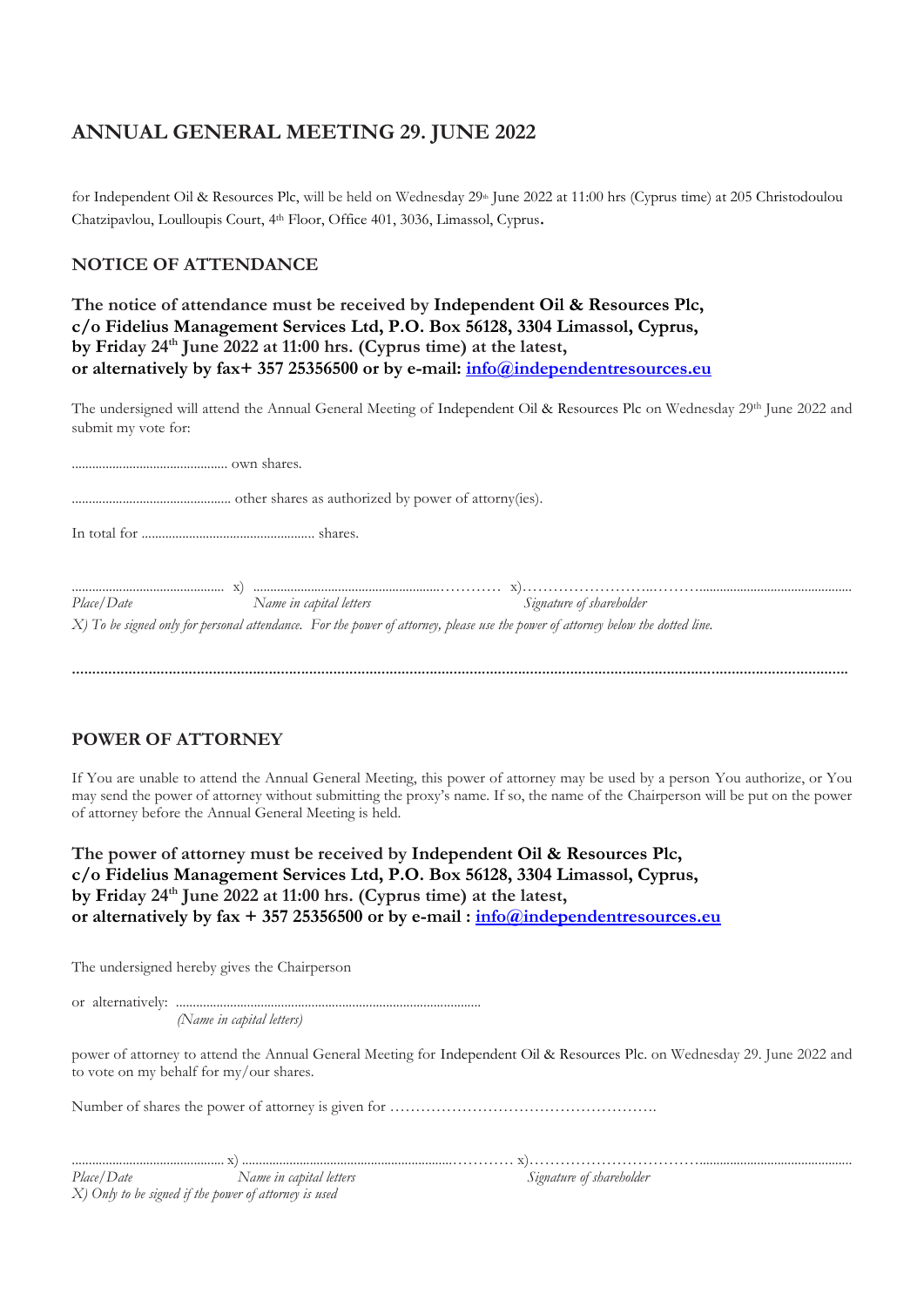## **ANNUAL GENERAL MEETING 29. JUNE 2022**

for Independent Oil & Resources Plc, will be held on Wednesday  $29<sup>th</sup>$  June 2022 at 11:00 hrs (Cyprus time) at 205 Christodoulou Chatzipavlou, Loulloupis Court, 4 th Floor, Office 401, 3036, Limassol, Cyprus.

#### **NOTICE OF ATTENDANCE**

| The notice of attendance must be received by Independent Oil & Resources Plc,    |  |  |  |  |  |
|----------------------------------------------------------------------------------|--|--|--|--|--|
| c/o Fidelius Management Services Ltd, P.O. Box 56128, 3304 Limassol, Cyprus,     |  |  |  |  |  |
| by Friday $24th$ June 2022 at 11:00 hrs. (Cyprus time) at the latest,            |  |  |  |  |  |
| or alternatively by fax+ 357 25356500 or by e-mail: info@independentresources.eu |  |  |  |  |  |

The undersigned will attend the Annual General Meeting of Independent Oil & Resources Plc on Wednesday 29<sup>th</sup> June 2022 and submit my vote for:

.............................................. own shares. ............................................... other shares as authorized by power of attorny(ies). In total for ................................................... shares. ............................................. x) .......................................................………… x)……………………..………............................................. *Place/Date* Mame in capital letters Signature of shareholder **Signature** of shareholder *X) To be signed only for personal attendance. For the power of attorney, please use the power of attorney below the dotted line.*

**.................................................................................................................................................................................................** 

#### **POWER OF ATTORNEY**

If You are unable to attend the Annual General Meeting, this power of attorney may be used by a person You authorize, or You may send the power of attorney without submitting the proxy's name. If so, the name of the Chairperson will be put on the power of attorney before the Annual General Meeting is held.

**The power of attorney must be received by Independent Oil & Resources Plc, c/o Fidelius Management Services Ltd, P.O. Box 56128, 3304 Limassol, Cyprus, by Friday 24th June 2022 at 11:00 hrs. (Cyprus time) at the latest, or alternatively by fax + 357 25356500 or by e-mail : [info@independentresources.eu](mailto:info@independentresources.eu)**

The undersigned hereby gives the Chairperson

or alternatively: ..........................................................................................

 *(Name in capital letters)* 

power of attorney to attend the Annual General Meeting for Independent Oil & Resources Plc. on Wednesday 29. June 2022 and to vote on my behalf for my/our shares.

Number of shares the power of attorney is given for …………………………………………….

| Place/Date                                            | Name in capital letters | Signature of shareholder |
|-------------------------------------------------------|-------------------------|--------------------------|
| X) Only to be signed if the power of attorney is used |                         |                          |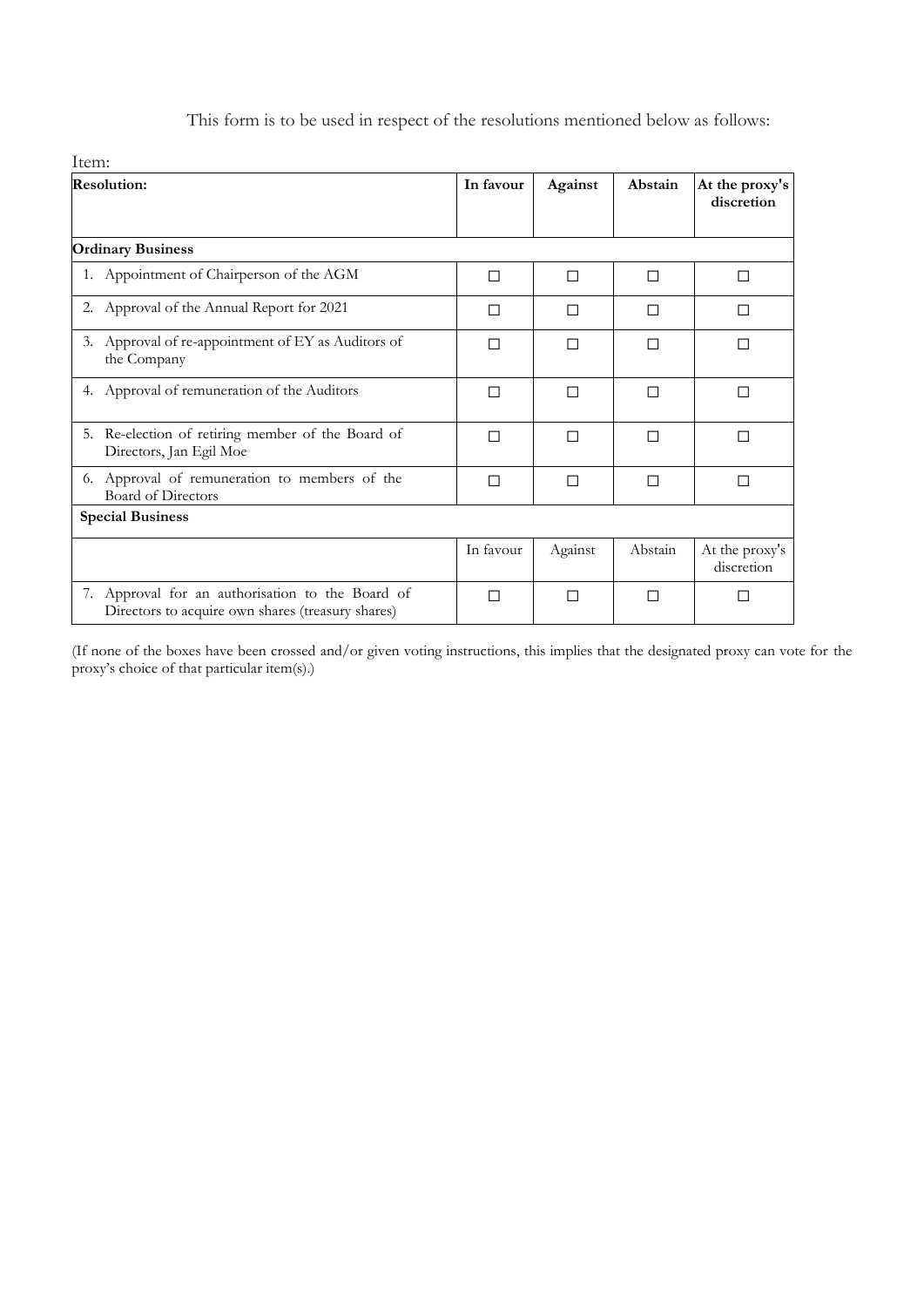|  |  |  | This form is to be used in respect of the resolutions mentioned below as follows: |  |  |
|--|--|--|-----------------------------------------------------------------------------------|--|--|
|  |  |  |                                                                                   |  |  |

| Item:                                                                                                 |           |         |         |                              |  |  |  |  |
|-------------------------------------------------------------------------------------------------------|-----------|---------|---------|------------------------------|--|--|--|--|
| <b>Resolution:</b>                                                                                    | In favour | Against | Abstain | At the proxy's<br>discretion |  |  |  |  |
| <b>Ordinary Business</b>                                                                              |           |         |         |                              |  |  |  |  |
| 1. Appointment of Chairperson of the AGM                                                              | П         | П       | П       | П                            |  |  |  |  |
| 2. Approval of the Annual Report for 2021                                                             | П         |         | П       | П                            |  |  |  |  |
| 3. Approval of re-appointment of EY as Auditors of<br>the Company                                     | П         | П       | П       | П                            |  |  |  |  |
| 4. Approval of remuneration of the Auditors                                                           | П         | П       | П       |                              |  |  |  |  |
| Re-election of retiring member of the Board of<br>5.<br>Directors, Jan Egil Moe                       | П         | П       | П       | П                            |  |  |  |  |
| 6. Approval of remuneration to members of the<br>Board of Directors                                   | П         | П       | П       |                              |  |  |  |  |
| <b>Special Business</b>                                                                               |           |         |         |                              |  |  |  |  |
|                                                                                                       | In favour | Against | Abstain | At the proxy's<br>discretion |  |  |  |  |
| 7. Approval for an authorisation to the Board of<br>Directors to acquire own shares (treasury shares) | П         | П       | П       |                              |  |  |  |  |

(If none of the boxes have been crossed and/or given voting instructions, this implies that the designated proxy can vote for the proxy's choice of that particular item(s).)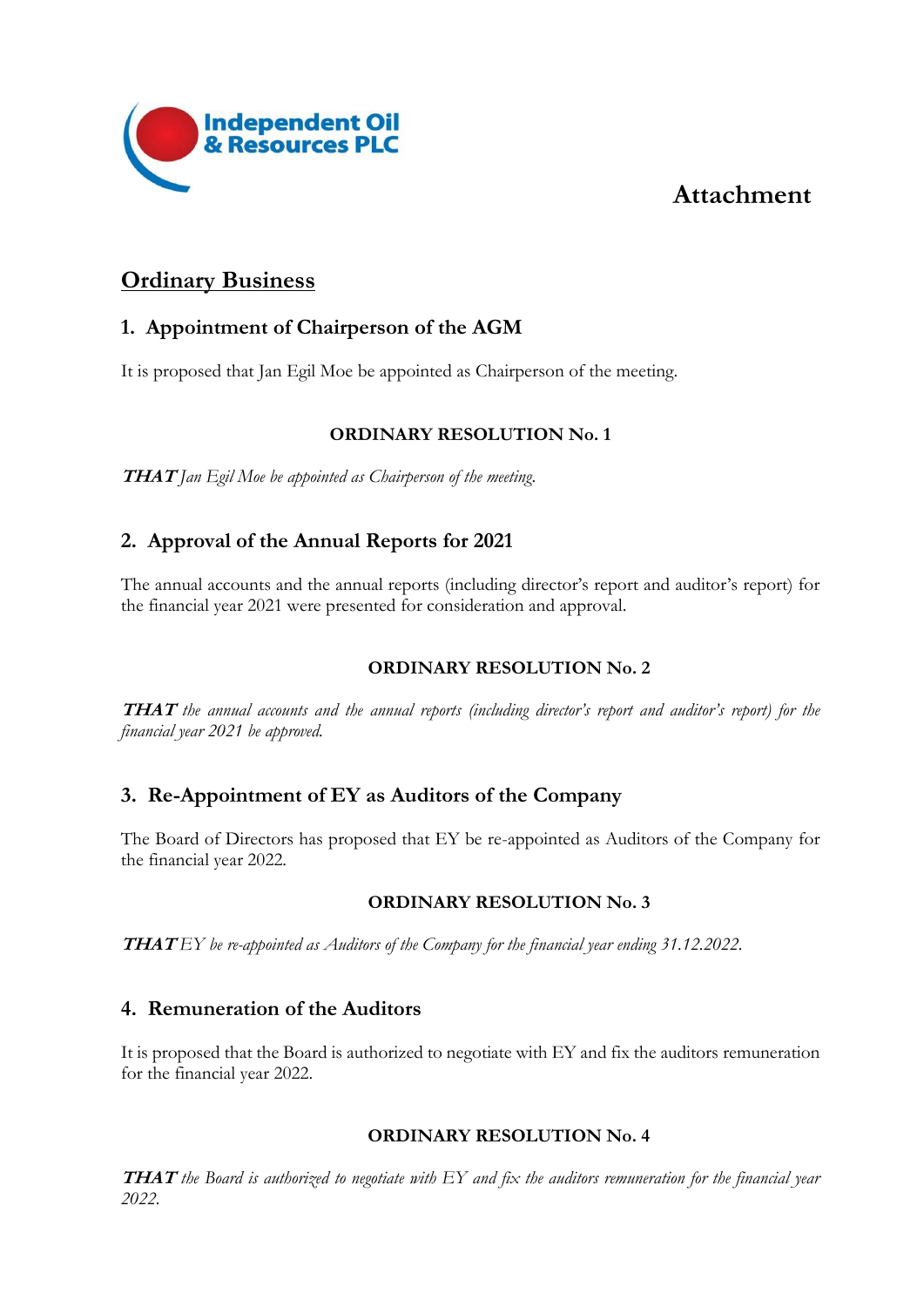## **Attachment**



## **Ordinary Business**

## **1. Appointment of Chairperson of the AGM**

It is proposed that Jan Egil Moe be appointed as Chairperson of the meeting.

#### **ORDINARY RESOLUTION No. 1**

**THAT** *Jan Egil Moe be appointed as Chairperson of the meeting*.

## **2. Approval of the Annual Reports for 2021**

The annual accounts and the annual reports (including director's report and auditor's report) for the financial year 2021 were presented for consideration and approval.

#### **ORDINARY RESOLUTION No. 2**

**THAT** *the annual accounts and the annual reports (including director's report and auditor's report) for the financial year 2021 be approved.* 

## **3. Re-Appointment of EY as Auditors of the Company**

The Board of Directors has proposed that EY be re-appointed as Auditors of the Company for the financial year 2022.

#### **ORDINARY RESOLUTION No. 3**

**THAT** *EY be re-appointed as Auditors of the Company for the financial year ending 31.12.2022.* 

## **4. Remuneration of the Auditors**

It is proposed that the Board is authorized to negotiate with EY and fix the auditors remuneration for the financial year 2022.

#### **ORDINARY RESOLUTION No. 4**

**THAT** *the Board is authorized to negotiate with EY and fix the auditors remuneration for the financial year 2022.*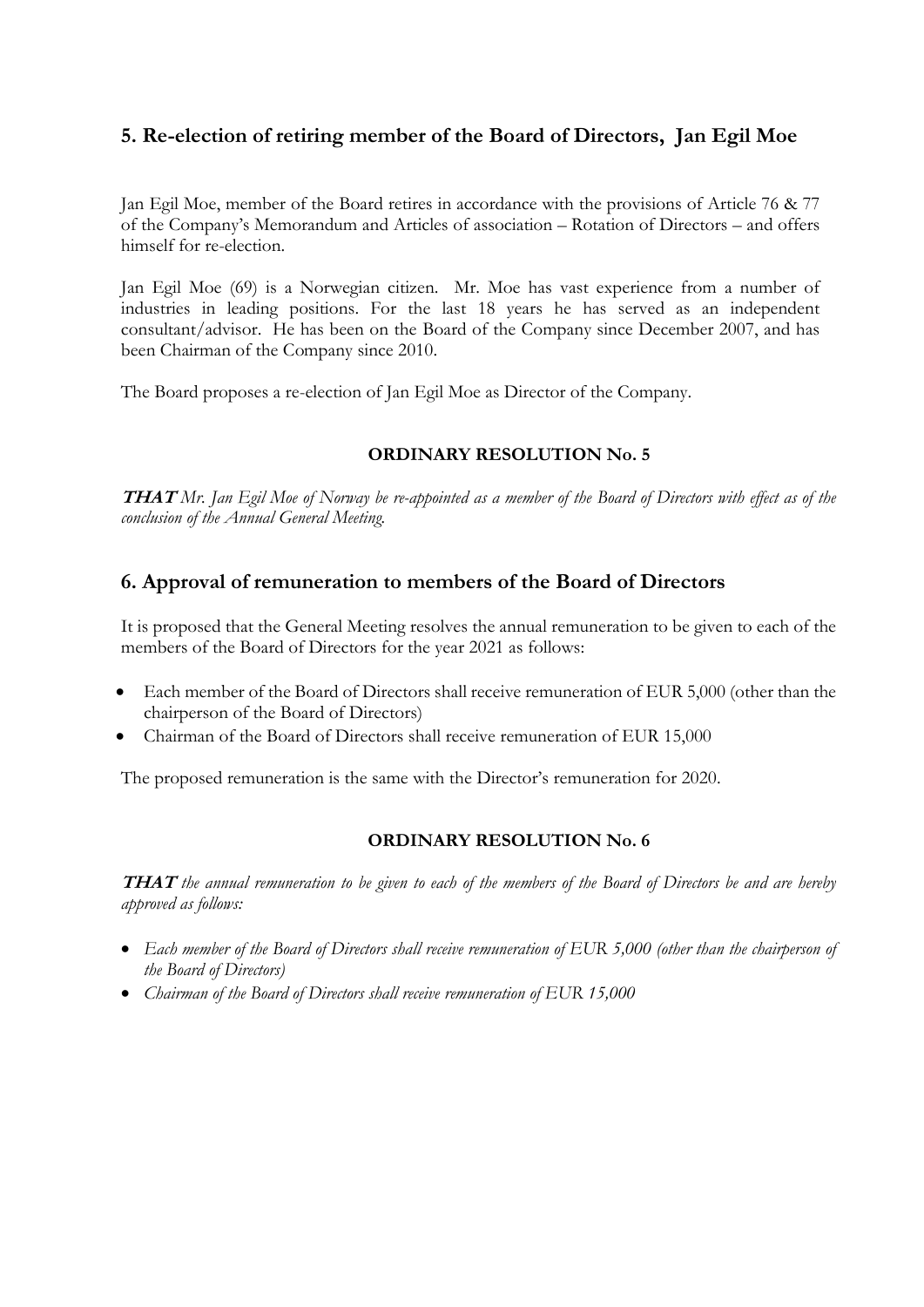## **5. Re-election of retiring member of the Board of Directors, Jan Egil Moe**

Jan Egil Moe, member of the Board retires in accordance with the provisions of Article 76 & 77 of the Company's Memorandum and Articles of association – Rotation of Directors – and offers himself for re-election.

Jan Egil Moe (69) is a Norwegian citizen. Mr. Moe has vast experience from a number of industries in leading positions. For the last 18 years he has served as an independent consultant/advisor. He has been on the Board of the Company since December 2007, and has been Chairman of the Company since 2010.

The Board proposes a re-election of Jan Egil Moe as Director of the Company.

#### **ORDINARY RESOLUTION No. 5**

**THAT** *Mr. Jan Egil Moe of Norway be re-appointed as a member of the Board of Directors with effect as of the conclusion of the Annual General Meeting.* 

## **6. Approval of remuneration to members of the Board of Directors**

It is proposed that the General Meeting resolves the annual remuneration to be given to each of the members of the Board of Directors for the year 2021 as follows:

- Each member of the Board of Directors shall receive remuneration of EUR 5,000 (other than the chairperson of the Board of Directors)
- Chairman of the Board of Directors shall receive remuneration of EUR 15,000

The proposed remuneration is the same with the Director's remuneration for 2020.

#### **ORDINARY RESOLUTION No. 6**

**THAT** *the annual remuneration to be given to each of the members of the Board of Directors be and are hereby approved as follows:* 

- *Each member of the Board of Directors shall receive remuneration of EUR 5,000 (other than the chairperson of the Board of Directors)*
- *Chairman of the Board of Directors shall receive remuneration of EUR 15,000*